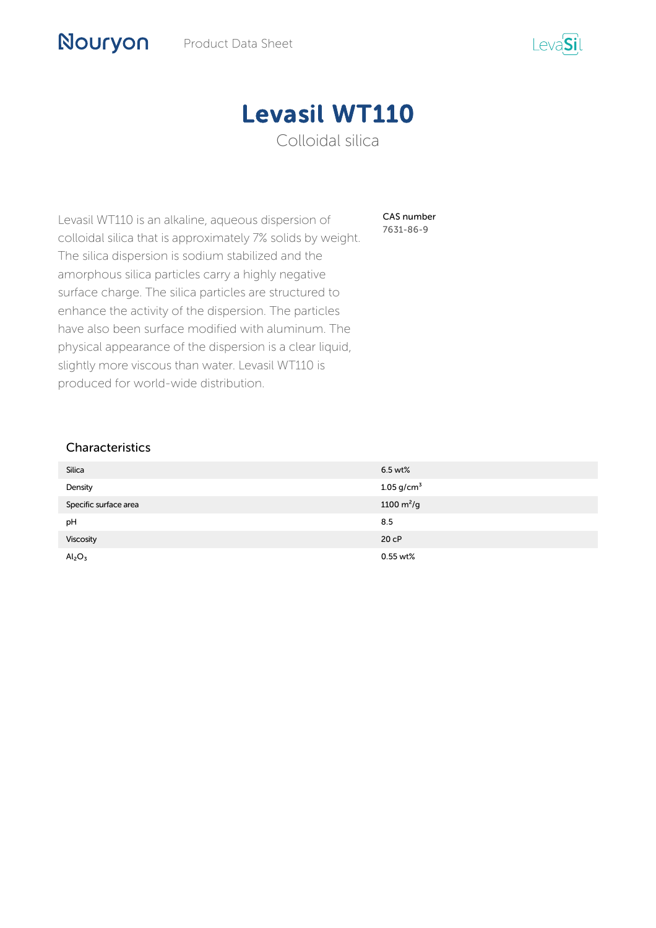



CAS number 7631-86-9

Levasil WT110 is an alkaline, aqueous dispersion of colloidal silica that is approximately 7% solids by weight. The silica dispersion is sodium stabilized and the amorphous silica particles carry a highly negative surface charge. The silica particles are structured to enhance the activity of the dispersion. The particles have also been surface modified with aluminum. The physical appearance of the dispersion is a clear liquid, slightly more viscous than water. Levasil WT110 is produced for world-wide distribution.

## Characteristics

Nouryon

| <b>Silica</b>                  | 6.5 wt%                  |
|--------------------------------|--------------------------|
| Density                        | $1.05$ g/cm <sup>3</sup> |
| Specific surface area          | 1100 $m^2/g$             |
| pH                             | 8.5                      |
| Viscosity                      | 20 <sub>CP</sub>         |
| Al <sub>2</sub> O <sub>3</sub> | 0.55 wt%                 |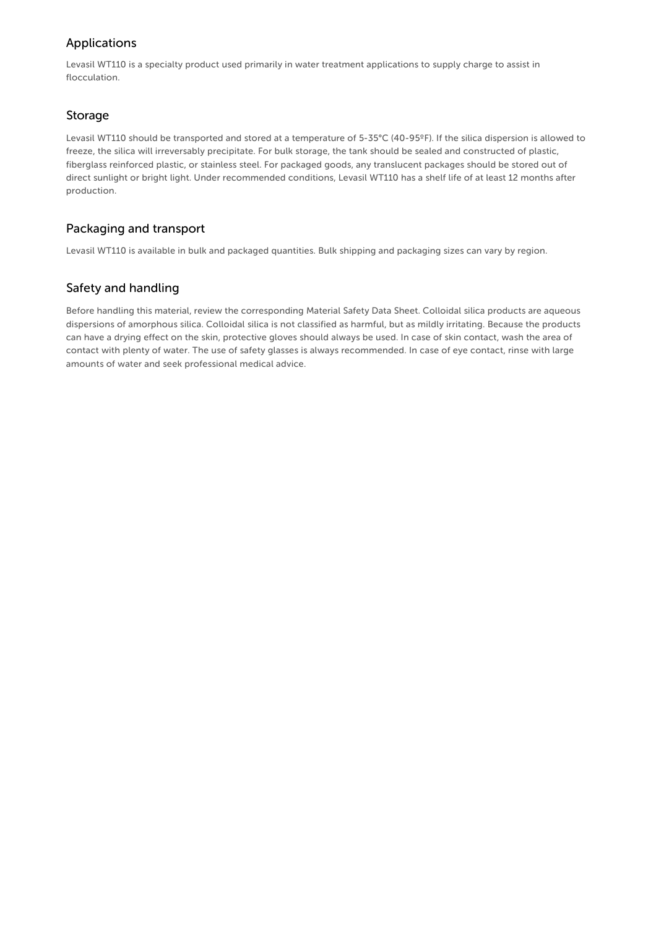# Applications

Levasil WT110 is a specialty product used primarily in water treatment applications to supply charge to assist in flocculation.

## Storage

Levasil WT110 should be transported and stored at a temperature of 5-35°C (40-95ºF). If the silica dispersion is allowed to freeze, the silica will irreversably precipitate. For bulk storage, the tank should be sealed and constructed of plastic, fiberglass reinforced plastic, or stainless steel. For packaged goods, any translucent packages should be stored out of direct sunlight or bright light. Under recommended conditions, Levasil WT110 has a shelf life of at least 12 months after production.

## Packaging and transport

Levasil WT110 is available in bulk and packaged quantities. Bulk shipping and packaging sizes can vary by region.

# Safety and handling

Before handling this material, review the corresponding Material Safety Data Sheet. Colloidal silica products are aqueous dispersions of amorphous silica. Colloidal silica is not classified as harmful, but as mildly irritating. Because the products can have a drying effect on the skin, protective gloves should always be used. In case of skin contact, wash the area of contact with plenty of water. The use of safety glasses is always recommended. In case of eye contact, rinse with large amounts of water and seek professional medical advice.